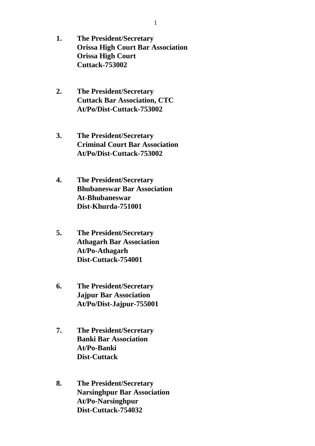- **1. The President/Secretary Orissa High Court Bar Association Orissa High Court Cuttack-753002**
- **2. The President/Secretary Cuttack Bar Association, CTC At/Po/Dist-Cuttack-753002**
- **3. The President/Secretary Criminal Court Bar Association At/Po/Dist-Cuttack-753002**
- **4. The President/Secretary Bhubaneswar Bar Association At-Bhubaneswar Dist-Khurda-751001**
- **5. The President/Secretary Athagarh Bar Association At/Po-Athagarh Dist-Cuttack-754001**
- **6. The President/Secretary Jajpur Bar Association At/Po/Dist-Jajpur-755001**
- **7. The President/Secretary Banki Bar Association At/Po-Banki Dist-Cuttack**
- **8. The President/Secretary Narsinghpur Bar Association At/Po-Narsinghpur Dist-Cuttack-754032**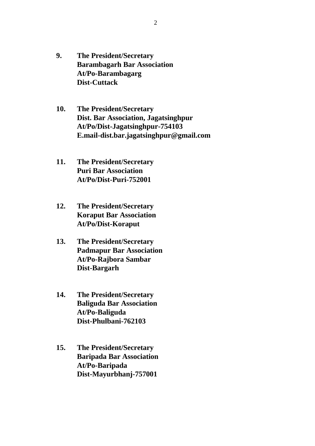- **9. The President/Secretary Barambagarh Bar Association At/Po-Barambagarg Dist-Cuttack**
- **10. The President/Secretary Dist. Bar Association, Jagatsinghpur At/Po/Dist-Jagatsinghpur-754103 E.mail-dist.bar.jagatsinghpur@gmail.com**
- **11. The President/Secretary Puri Bar Association At/Po/Dist-Puri-752001**
- **12. The President/Secretary Koraput Bar Association At/Po/Dist-Koraput**
- **13. The President/Secretary Padmapur Bar Association At/Po-Rajbora Sambar Dist-Bargarh**
- **14. The President/Secretary Baliguda Bar Association At/Po-Baliguda Dist-Phulbani-762103**
- **15. The President/Secretary Baripada Bar Association At/Po-Baripada Dist-Mayurbhanj-757001**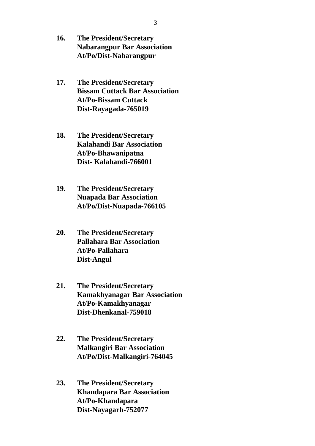- **16. The President/Secretary Nabarangpur Bar Association At/Po/Dist-Nabarangpur**
- **17. The President/Secretary Bissam Cuttack Bar Association At/Po-Bissam Cuttack Dist-Rayagada-765019**
- **18. The President/Secretary Kalahandi Bar Association At/Po-Bhawanipatna Dist- Kalahandi-766001**
- **19. The President/Secretary Nuapada Bar Association At/Po/Dist-Nuapada-766105**
- **20. The President/Secretary Pallahara Bar Association At/Po-Pallahara Dist-Angul**
- **21. The President/Secretary Kamakhyanagar Bar Association At/Po-Kamakhyanagar Dist-Dhenkanal-759018**
- **22. The President/Secretary Malkangiri Bar Association At/Po/Dist-Malkangiri-764045**
- **23. The President/Secretary Khandapara Bar Association At/Po-Khandapara Dist-Nayagarh-752077**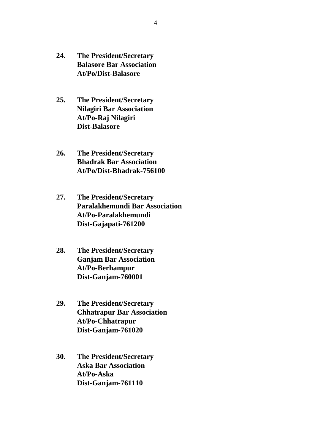- **24. The President/Secretary Balasore Bar Association At/Po/Dist-Balasore**
- **25. The President/Secretary Nilagiri Bar Association At/Po-Raj Nilagiri Dist-Balasore**
- **26. The President/Secretary Bhadrak Bar Association At/Po/Dist-Bhadrak-756100**
- **27. The President/Secretary Paralakhemundi Bar Association At/Po-Paralakhemundi Dist-Gajapati-761200**
- **28. The President/Secretary Ganjam Bar Association At/Po-Berhampur Dist-Ganjam-760001**
- **29. The President/Secretary Chhatrapur Bar Association At/Po-Chhatrapur Dist-Ganjam-761020**
- **30. The President/Secretary Aska Bar Association At/Po-Aska Dist-Ganjam-761110**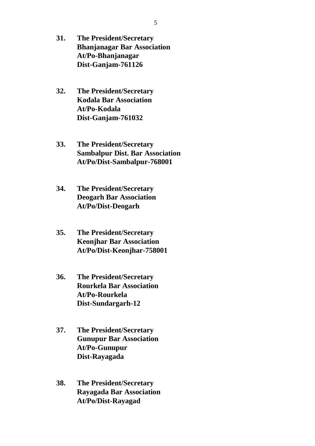- **31. The President/Secretary Bhanjanagar Bar Association At/Po-Bhanjanagar Dist-Ganjam-761126**
- **32. The President/Secretary Kodala Bar Association At/Po-Kodala Dist-Ganjam-761032**
- **33. The President/Secretary Sambalpur Dist. Bar Association At/Po/Dist-Sambalpur-768001**
- **34. The President/Secretary Deogarh Bar Association At/Po/Dist-Deogarh**
- **35. The President/Secretary Keonjhar Bar Association At/Po/Dist-Keonjhar-758001**
- **36. The President/Secretary Rourkela Bar Association At/Po-Rourkela Dist-Sundargarh-12**
- **37. The President/Secretary Gunupur Bar Association At/Po-Gunupur Dist-Rayagada**
- **38. The President/Secretary Rayagada Bar Association At/Po/Dist-Rayagad**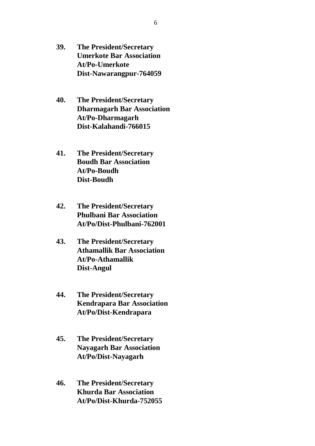- **39. The President/Secretary Umerkote Bar Association At/Po-Umerkote Dist-Nawarangpur-764059**
- **40. The President/Secretary Dharmagarh Bar Association At/Po-Dharmagarh Dist-Kalahandi-766015**
- **41. The President/Secretary Boudh Bar Association At/Po-Boudh Dist-Boudh**
- **42. The President/Secretary Phulbani Bar Association At/Po/Dist-Phulbani-762001**
- **43. The President/Secretary Athamallik Bar Association At/Po-Athamallik Dist-Angul**
- **44. The President/Secretary Kendrapara Bar Association At/Po/Dist-Kendrapara**
- **45. The President/Secretary Nayagarh Bar Association At/Po/Dist-Nayagarh**
- **46. The President/Secretary Khurda Bar Association At/Po/Dist-Khurda-752055**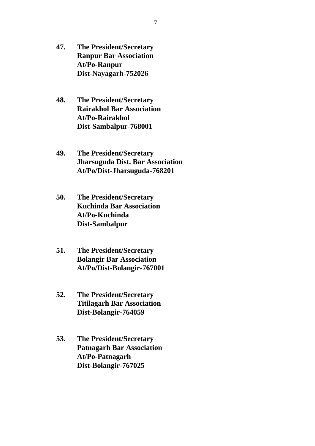- **47. The President/Secretary Ranpur Bar Association At/Po-Ranpur Dist-Nayagarh-752026**
- **48. The President/Secretary Rairakhol Bar Association At/Po-Rairakhol Dist-Sambalpur-768001**
- **49. The President/Secretary Jharsuguda Dist. Bar Association At/Po/Dist-Jharsuguda-768201**
- **50. The President/Secretary Kuchinda Bar Association At/Po-Kuchinda Dist-Sambalpur**
- **51. The President/Secretary Bolangir Bar Association At/Po/Dist-Bolangir-767001**
- **52. The President/Secretary Titilagarh Bar Association Dist-Bolangir-764059**
- **53. The President/Secretary Patnagarh Bar Association At/Po-Patnagarh Dist-Bolangir-767025**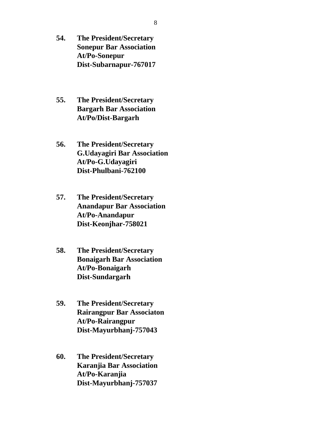- **54. The President/Secretary Sonepur Bar Association At/Po-Sonepur Dist-Subarnapur-767017**
- **55. The President/Secretary Bargarh Bar Association At/Po/Dist-Bargarh**
- **56. The President/Secretary G.Udayagiri Bar Association At/Po-G.Udayagiri Dist-Phulbani-762100**
- **57. The President/Secretary Anandapur Bar Association At/Po-Anandapur Dist-Keonjhar-758021**
- **58. The President/Secretary Bonaigarh Bar Association At/Po-Bonaigarh Dist-Sundargarh**
- **59. The President/Secretary Rairangpur Bar Associaton At/Po-Rairangpur Dist-Mayurbhanj-757043**
- **60. The President/Secretary Karanjia Bar Association At/Po-Karanjia Dist-Mayurbhanj-757037**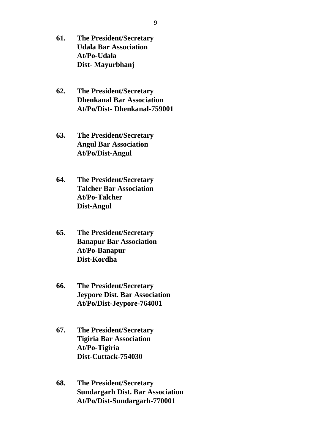- **61. The President/Secretary Udala Bar Association At/Po-Udala Dist- Mayurbhanj**
- **62. The President/Secretary Dhenkanal Bar Association At/Po/Dist- Dhenkanal-759001**
- **63. The President/Secretary Angul Bar Association At/Po/Dist-Angul**
- **64. The President/Secretary Talcher Bar Association At/Po-Talcher Dist-Angul**
- **65. The President/Secretary Banapur Bar Association At/Po-Banapur Dist-Kordha**
- **66. The President/Secretary Jeypore Dist. Bar Association At/Po/Dist-Jeypore-764001**
- **67. The President/Secretary Tigiria Bar Association At/Po-Tigiria Dist-Cuttack-754030**
- **68. The President/Secretary Sundargarh Dist. Bar Association At/Po/Dist-Sundargarh-770001**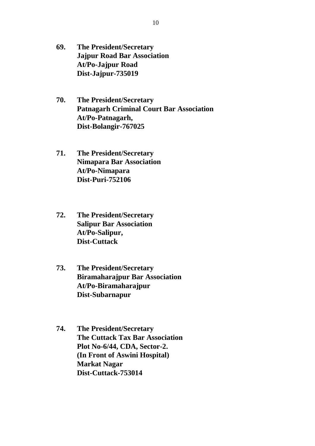- **69. The President/Secretary Jajpur Road Bar Association At/Po-Jajpur Road Dist-Jajpur-735019**
- **70. The President/Secretary Patnagarh Criminal Court Bar Association At/Po-Patnagarh, Dist-Bolangir-767025**
- **71. The President/Secretary Nimapara Bar Association At/Po-Nimapara Dist-Puri-752106**
- **72. The President/Secretary Salipur Bar Association At/Po-Salipur, Dist-Cuttack**
- **73. The President/Secretary Biramaharajpur Bar Association At/Po-Biramaharajpur Dist-Subarnapur**
- **74. The President/Secretary The Cuttack Tax Bar Association Plot No-6/44, CDA, Sector-2. (In Front of Aswini Hospital) Markat Nagar Dist-Cuttack-753014**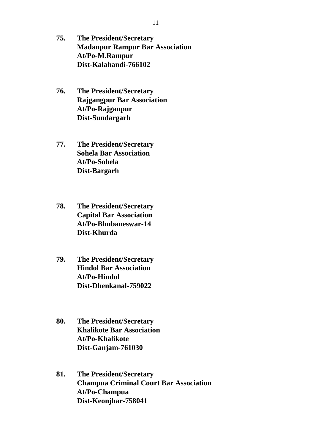- **75. The President/Secretary Madanpur Rampur Bar Association At/Po-M.Rampur Dist-Kalahandi-766102**
- **76. The President/Secretary Rajgangpur Bar Association At/Po-Rajganpur Dist-Sundargarh**
- **77. The President/Secretary Sohela Bar Association At/Po-Sohela Dist-Bargarh**
- **78. The President/Secretary Capital Bar Association At/Po-Bhubaneswar-14 Dist-Khurda**
- **79. The President/Secretary Hindol Bar Association At/Po-Hindol Dist-Dhenkanal-759022**
- **80. The President/Secretary Khalikote Bar Association At/Po-Khalikote Dist-Ganjam-761030**
- **81. The President/Secretary Champua Criminal Court Bar Association At/Po-Champua Dist-Keonjhar-758041**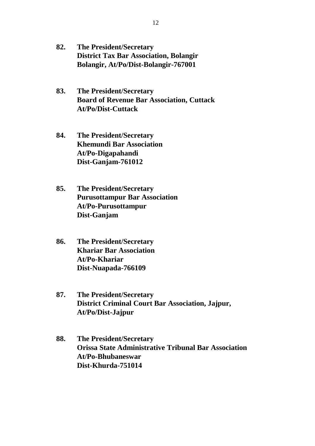- **82. The President/Secretary District Tax Bar Association, Bolangir Bolangir, At/Po/Dist-Bolangir-767001**
- **83. The President/Secretary Board of Revenue Bar Association, Cuttack At/Po/Dist-Cuttack**
- **84. The President/Secretary Khemundi Bar Association At/Po-Digapahandi Dist-Ganjam-761012**
- **85. The President/Secretary Purusottampur Bar Association At/Po-Purusottampur Dist-Ganjam**
- **86. The President/Secretary Khariar Bar Association At/Po-Khariar Dist-Nuapada-766109**
- **87. The President/Secretary District Criminal Court Bar Association, Jajpur, At/Po/Dist-Jajpur**
- **88. The President/Secretary Orissa State Administrative Tribunal Bar Association At/Po-Bhubaneswar Dist-Khurda-751014**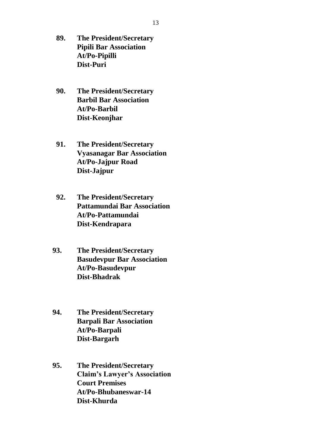- **89. The President/Secretary Pipili Bar Association At/Po-Pipilli Dist-Puri**
- **90. The President/Secretary Barbil Bar Association At/Po-Barbil Dist-Keonjhar**
- **91. The President/Secretary Vyasanagar Bar Association At/Po-Jajpur Road Dist-Jajpur**
- **92. The President/Secretary Pattamundai Bar Association At/Po-Pattamundai Dist-Kendrapara**
- **93. The President/Secretary Basudevpur Bar Association At/Po-Basudevpur Dist-Bhadrak**
- **94. The President/Secretary Barpali Bar Association At/Po-Barpali Dist-Bargarh**
- **95. The President/Secretary Claim's Lawyer's Association Court Premises At/Po-Bhubaneswar-14 Dist-Khurda**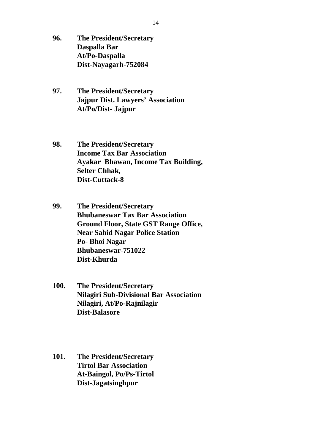- **96. The President/Secretary Daspalla Bar At/Po-Daspalla Dist-Nayagarh-752084**
- **97. The President/Secretary Jajpur Dist. Lawyers' Association At/Po/Dist- Jajpur**
- **98. The President/Secretary Income Tax Bar Association Ayakar Bhawan, Income Tax Building, Selter Chhak, Dist-Cuttack-8**
- **99. The President/Secretary Bhubaneswar Tax Bar Association Ground Floor, State GST Range Office, Near Sahid Nagar Police Station Po- Bhoi Nagar Bhubaneswar-751022 Dist-Khurda**
- **100. The President/Secretary Nilagiri Sub-Divisional Bar Association Nilagiri, At/Po-Rajnilagir Dist-Balasore**
- **101. The President/Secretary Tirtol Bar Association At-Baingol, Po/Ps-Tirtol Dist-Jagatsinghpur**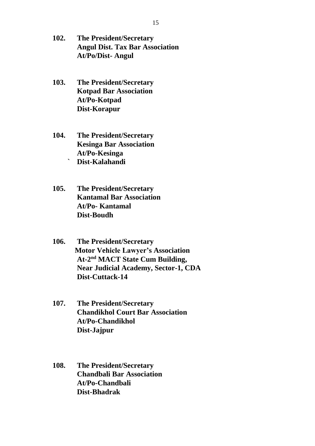- **102. The President/Secretary Angul Dist. Tax Bar Association At/Po/Dist- Angul**
- **103. The President/Secretary Kotpad Bar Association At/Po-Kotpad Dist-Korapur**
- **104. The President/Secretary Kesinga Bar Association At/Po-Kesinga ` Dist-Kalahandi**
- **105. The President/Secretary Kantamal Bar Association At/Po- Kantamal Dist-Boudh**
- **106. The President/Secretary Motor Vehicle Lawyer's Association At-2 nd MACT State Cum Building, Near Judicial Academy, Sector-1, CDA Dist-Cuttack-14**
- **107. The President/Secretary Chandikhol Court Bar Association At/Po-Chandikhol Dist-Jajpur**
- **108. The President/Secretary Chandbali Bar Association At/Po-Chandbali Dist-Bhadrak**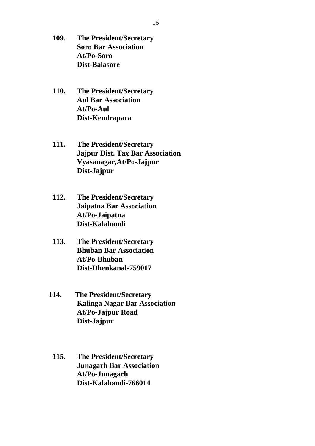- **109. The President/Secretary Soro Bar Association At/Po-Soro Dist-Balasore**
- **110. The President/Secretary Aul Bar Association At/Po-Aul Dist-Kendrapara**
- **111. The President/Secretary Jajpur Dist. Tax Bar Association Vyasanagar,At/Po-Jajpur Dist-Jajpur**
- **112. The President/Secretary Jaipatna Bar Association At/Po-Jaipatna Dist-Kalahandi**
- **113. The President/Secretary Bhuban Bar Association At/Po-Bhuban Dist-Dhenkanal-759017**
- **114. The President/Secretary Kalinga Nagar Bar Association At/Po-Jajpur Road Dist-Jajpur**
	- **115. The President/Secretary Junagarh Bar Association At/Po-Junagarh Dist-Kalahandi-766014**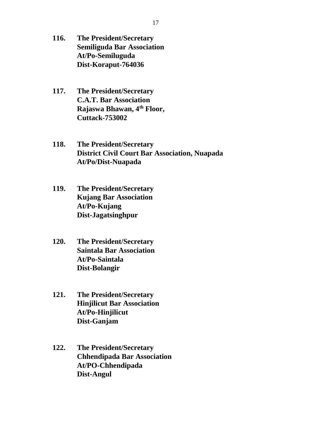- **116. The President/Secretary Semiliguda Bar Association At/Po-Semiluguda Dist-Koraput-764036**
- **117. The President/Secretary C.A.T. Bar Association Rajaswa Bhawan, 4th Floor, Cuttack-753002**

**118. The President/Secretary District Civil Court Bar Association, Nuapada At/Po/Dist-Nuapada**

- **119. The President/Secretary Kujang Bar Association At/Po-Kujang Dist-Jagatsinghpur**
- **120. The President/Secretary Saintala Bar Association At/Po-Saintala Dist-Bolangir**
- **121. The President/Secretary Hinjilicut Bar Association At/Po-Hinjilicut Dist-Ganjam**
- **122. The President/Secretary Chhendipada Bar Association At/PO-Chhendipada Dist-Angul**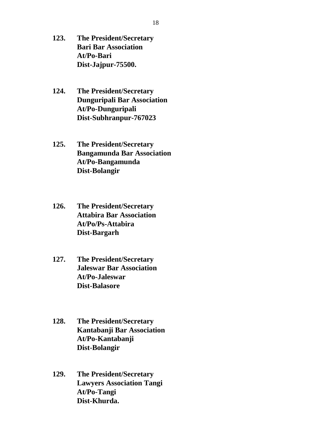- **123. The President/Secretary Bari Bar Association At/Po-Bari Dist-Jajpur-75500.**
- **124. The President/Secretary Dunguripali Bar Association At/Po-Dunguripali Dist-Subhranpur-767023**
- **125. The President/Secretary Bangamunda Bar Association At/Po-Bangamunda Dist-Bolangir**
- **126. The President/Secretary Attabira Bar Association At/Po/Ps-Attabira Dist-Bargarh**
- **127. The President/Secretary Jaleswar Bar Association At/Po-Jaleswar Dist-Balasore**
- **128. The President/Secretary Kantabanji Bar Association At/Po-Kantabanji Dist-Bolangir**
- **129. The President/Secretary Lawyers Association Tangi At/Po-Tangi Dist-Khurda.**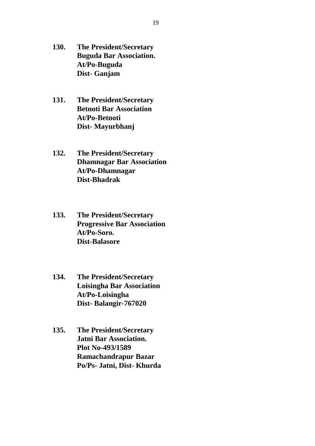- **130. The President/Secretary Buguda Bar Association. At/Po-Buguda Dist- Ganjam**
- **131. The President/Secretary Betnoti Bar Association At/Po-Betnoti Dist- Mayurbhanj**
- **132. The President/Secretary Dhamnagar Bar Association At/Po-Dhamnagar Dist-Bhadrak**
- **133. The President/Secretary Progressive Bar Association At/Po-Soro. Dist-Balasore**
- **134. The President/Secretary Loisingha Bar Association At/Po-Loisingha Dist- Balangir-767020**
- **135. The President/Secretary Jatni Bar Association. Plot No-493/1589 Ramachandrapur Bazar Po/Ps- Jatni, Dist- Khurda**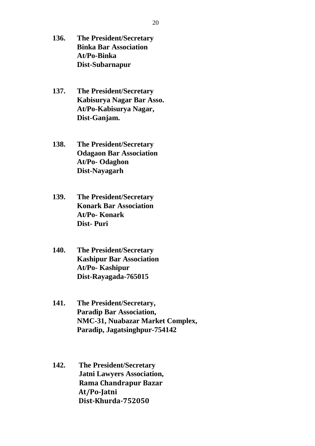- **136. The President/Secretary Binka Bar Association At/Po-Binka Dist-Subarnapur**
- **137. The President/Secretary Kabisurya Nagar Bar Asso. At/Po-Kabisurya Nagar, Dist-Ganjam.**
- **138. The President/Secretary Odagaon Bar Association At/Po- Odaghon Dist-Nayagarh**
- **139. The President/Secretary Konark Bar Association At/Po- Konark Dist- Puri**
- **140. The President/Secretary Kashipur Bar Association At/Po- Kashipur Dist-Rayagada-765015**
- **141. The President/Secretary, Paradip Bar Association, NMC-31, Nuabazar Market Complex, Paradip, Jagatsinghpur-754142**
- **142. The President/Secretary Jatni Lawyers Association, Rama Chandrapur Bazar At/Po-Jatni Dist-Khurda-752050**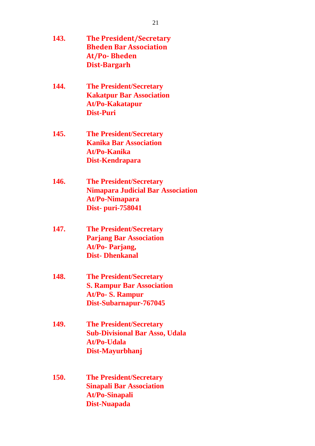| 143. | <b>The President/Secretary</b><br><b>Bheden Bar Association</b><br><b>At/Po-Bheden</b><br><b>Dist-Bargarh</b>            |
|------|--------------------------------------------------------------------------------------------------------------------------|
| 144. | <b>The President/Secretary</b><br><b>Kakatpur Bar Association</b><br><b>At/Po-Kakatapur</b><br><b>Dist-Puri</b>          |
| 145. | <b>The President/Secretary</b><br><b>Kanika Bar Association</b><br><b>At/Po-Kanika</b><br>Dist-Kendrapara                |
| 146. | <b>The President/Secretary</b><br><b>Nimapara Judicial Bar Association</b><br><b>At/Po-Nimapara</b><br>Dist- puri-758041 |
| 147. | <b>The President/Secretary</b><br><b>Parjang Bar Association</b><br>At/Po- Parjang,<br><b>Dist-Dhenkanal</b>             |
| 148. | <b>The President/Secretary</b><br><b>S. Rampur Bar Association</b><br>At/Po- S. Rampur<br>Dist-Subarnapur-767045         |
| 149. | <b>The President/Secretary</b><br><b>Sub-Divisional Bar Asso, Udala</b><br>At/Po-Udala<br>Dist-Mayurbhanj                |
| 150. | <b>The President/Secretary</b><br><b>Sinapali Bar Association</b><br><b>At/Po-Sinapali</b><br><b>Dist-Nuapada</b>        |